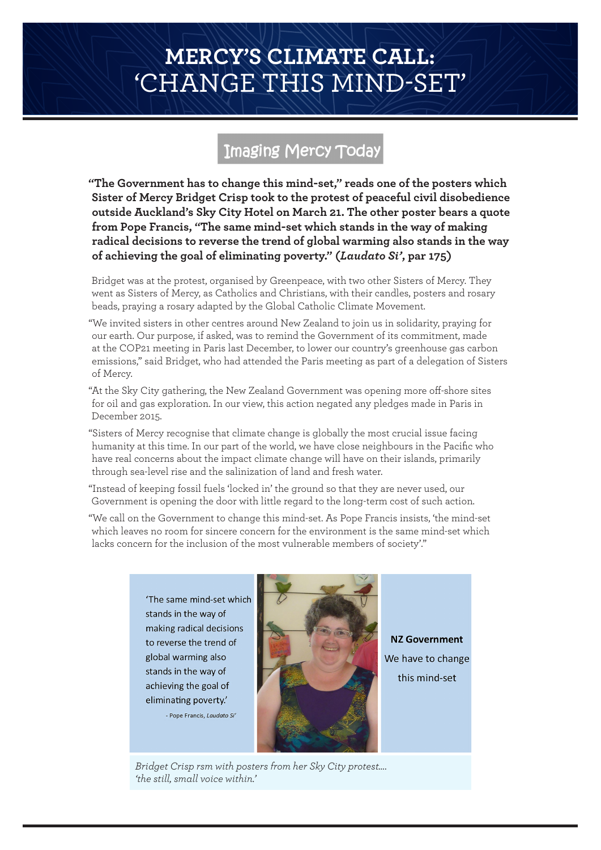## **MERCY'S CLIMATE CALL:**  'CHANGE THIS MIND-SET'

## Imaging Mercy Today

**"The Government has to change this mind-set," reads one of the posters which Sister of Mercy Bridget Crisp took to the protest of peaceful civil disobedience outside Auckland's Sky City Hotel on March 21. The other poster bears a quote from Pope Francis, "The same mind-set which stands in the way of making radical decisions to reverse the trend of global warming also stands in the way of achieving the goal of eliminating poverty." (***Laudato Si'***, par 175)**

Bridget was at the protest, organised by Greenpeace, with two other Sisters of Mercy. They went as Sisters of Mercy, as Catholics and Christians, with their candles, posters and rosary beads, praying a rosary adapted by the Global Catholic Climate Movement.

"We invited sisters in other centres around New Zealand to join us in solidarity, praying for our earth. Our purpose, if asked, was to remind the Government of its commitment, made at the COP21 meeting in Paris last December, to lower our country's greenhouse gas carbon emissions," said Bridget, who had attended the Paris meeting as part of a delegation of Sisters of Mercy.

"At the Sky City gathering, the New Zealand Government was opening more off-shore sites for oil and gas exploration. In our view, this action negated any pledges made in Paris in December 2015.

"Sisters of Mercy recognise that climate change is globally the most crucial issue facing humanity at this time. In our part of the world, we have close neighbours in the Pacific who have real concerns about the impact climate change will have on their islands, primarily through sea-level rise and the salinization of land and fresh water.

"Instead of keeping fossil fuels 'locked in' the ground so that they are never used, our Government is opening the door with little regard to the long-term cost of such action.

"We call on the Government to change this mind-set. As Pope Francis insists, 'the mind-set which leaves no room for sincere concern for the environment is the same mind-set which lacks concern for the inclusion of the most vulnerable members of society'."

'The same mind-set which stands in the way of making radical decisions to reverse the trend of global warming also stands in the way of achieving the goal of eliminating poverty.' - Pope Francis, Laudato Si'



NZ Government We have to change this mind-set

*Bridget Crisp rsm with posters from her Sky City protest…. 'the still, small voice within.'*